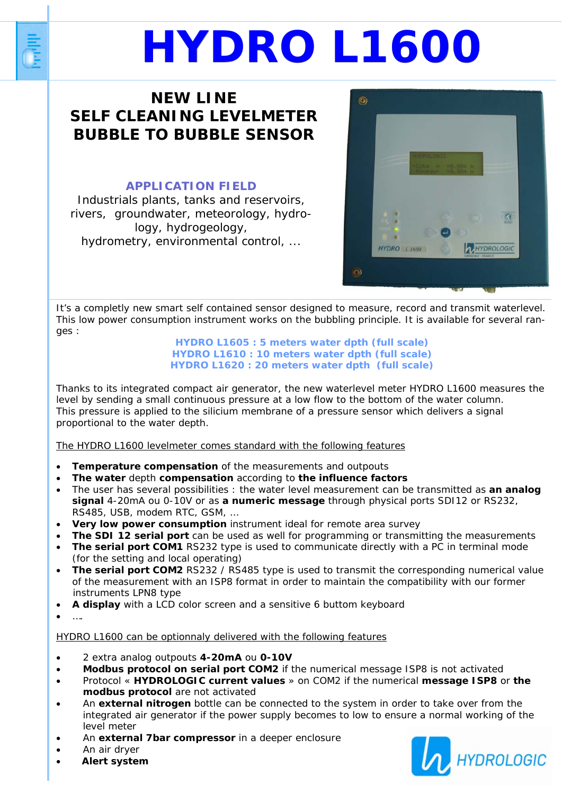# **HYDRO L1600**

# **NEW LINE SELF CLEANING LEVELMETER BUBBLE TO BUBBLE SENSOR**

# **APPLICATION FIELD**

Industrials plants, tanks and reservoirs, rivers, groundwater, meteorology, hydrology, hydrogeology, hydrometry, environmental control, ...



It's a completly new smart self contained sensor designed to measure, record and transmit waterlevel. This low power consumption instrument works on the bubbling principle. It is available for several ranges :

#### **HYDRO L1605 : 5 meters water dpth (full scale) HYDRO L1610 : 10 meters water dpth (full scale) HYDRO L1620 : 20 meters water dpth (full scale)**

Thanks to its integrated compact air generator, the new waterlevel meter HYDRO L1600 measures the level by sending a small continuous pressure at a low flow to the bottom of the water column. This pressure is applied to the silicium membrane of a pressure sensor which delivers a signal proportional to the water depth.

## The HYDRO L1600 levelmeter comes standard with the following features

- **Temperature compensation** of the measurements and outpouts
- **The water** depth **compensation** according to **the influence factors**
- The user has several possibilities : the water level measurement can be transmitted as **an analog signal** 4-20mA ou 0-10V or as **a numeric message** through physical ports SDI12 or RS232, RS485, USB, modem RTC, GSM, …
- **Very low power consumption** instrument ideal for remote area survey
- The SDI 12 serial port can be used as well for programming or transmitting the measurements
- The serial port COM1 RS232 type is used to communicate directly with a PC in terminal mode (for the setting and local operating)
- **The serial port COM2** RS232 / RS485 type is used to transmit the corresponding numerical value of the measurement with an ISP8 format in order to maintain the compatibility with our former instruments LPN8 type
- **A display** with a LCD color screen and a sensitive 6 buttom keyboard

## HYDRO L1600 can be optionnaly delivered with the following features

- 2 extra analog outpouts **4-20mA** ou **0-10V**
- **Modbus protocol on serial port COM2** if the numerical message ISP8 is not activated
- Protocol « **HYDROLOGIC current values** » on COM2 if the numerical **message ISP8** or **the modbus protocol** are not activated
- An **external nitrogen** bottle can be connected to the system in order to take over from the integrated air generator if the power supply becomes to low to ensure a normal working of the level meter
- An **external 7bar compressor** in a deeper enclosure
- An air dryer
- **Alert system**